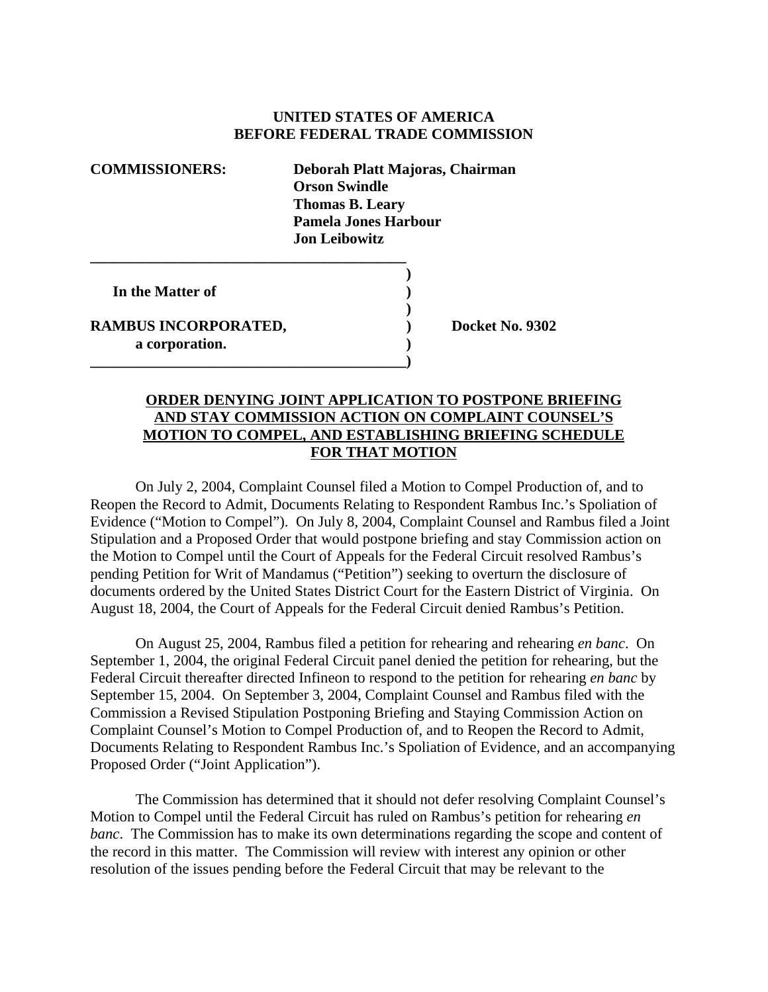## **UNITED STATES OF AMERICA BEFORE FEDERAL TRADE COMMISSION**

**COMMISSIONERS: Deborah Platt Majoras, Chairman Orson Swindle Thomas B. Leary Pamela Jones Harbour Jon Leibowitz \_\_\_\_\_\_\_\_\_\_\_\_\_\_\_\_\_\_\_\_\_\_\_\_\_\_\_\_\_\_\_\_\_\_\_\_\_\_\_\_\_\_ ) In the Matter of )**

**\_\_\_\_\_\_\_\_\_\_\_\_\_\_\_\_\_\_\_\_\_\_\_\_\_\_\_\_\_\_\_\_\_\_\_\_\_\_\_\_\_\_)**

RAMBUS INCORPORATED, Docket No. 9302 **a corporation. )**

## **ORDER DENYING JOINT APPLICATION TO POSTPONE BRIEFING AND STAY COMMISSION ACTION ON COMPLAINT COUNSEL'S MOTION TO COMPEL, AND ESTABLISHING BRIEFING SCHEDULE FOR THAT MOTION**

**)**

On July 2, 2004, Complaint Counsel filed a Motion to Compel Production of, and to Reopen the Record to Admit, Documents Relating to Respondent Rambus Inc.'s Spoliation of Evidence ("Motion to Compel"). On July 8, 2004, Complaint Counsel and Rambus filed a Joint Stipulation and a Proposed Order that would postpone briefing and stay Commission action on the Motion to Compel until the Court of Appeals for the Federal Circuit resolved Rambus's pending Petition for Writ of Mandamus ("Petition") seeking to overturn the disclosure of documents ordered by the United States District Court for the Eastern District of Virginia. On August 18, 2004, the Court of Appeals for the Federal Circuit denied Rambus's Petition.

On August 25, 2004, Rambus filed a petition for rehearing and rehearing *en banc*. On September 1, 2004, the original Federal Circuit panel denied the petition for rehearing, but the Federal Circuit thereafter directed Infineon to respond to the petition for rehearing *en banc* by September 15, 2004. On September 3, 2004, Complaint Counsel and Rambus filed with the Commission a Revised Stipulation Postponing Briefing and Staying Commission Action on Complaint Counsel's Motion to Compel Production of, and to Reopen the Record to Admit, Documents Relating to Respondent Rambus Inc.'s Spoliation of Evidence, and an accompanying Proposed Order ("Joint Application").

The Commission has determined that it should not defer resolving Complaint Counsel's Motion to Compel until the Federal Circuit has ruled on Rambus's petition for rehearing *en banc*. The Commission has to make its own determinations regarding the scope and content of the record in this matter. The Commission will review with interest any opinion or other resolution of the issues pending before the Federal Circuit that may be relevant to the